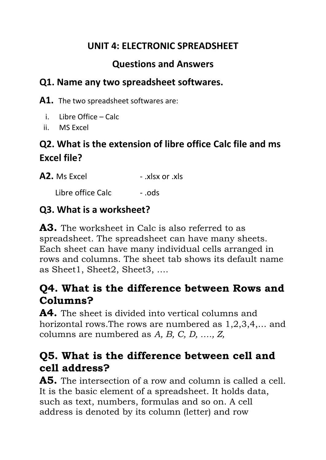## **UNIT 4: ELECTRONIC SPREADSHEET**

## **Questions and Answers**

#### **Q1. Name any two spreadsheet softwares.**

**A1.** The two spreadsheet softwares are:

- i. Libre Office Calc
- ii. MS Excel

# **Q2. What is the extension of libre office Calc file and ms Excel file?**

**A2.** Ms Excel - .xlsx or .xls

Libre office Calc [15] - .ods

## **Q3. What is a worksheet?**

**A3.** The worksheet in Calc is also referred to as spreadsheet. The spreadsheet can have many sheets. Each sheet can have many individual cells arranged in rows and columns. The sheet tab shows its default name as Sheet1, Sheet2, Sheet3, ….

# **Q4. What is the difference between Rows and Columns?**

**A4.** The sheet is divided into vertical columns and horizontal rows.The rows are numbered as 1,2,3,4,… and columns are numbered as *A, B, C, D, …., Z,*

# **Q5. What is the difference between cell and cell address?**

**A5.** The intersection of a row and column is called a cell. It is the basic element of a spreadsheet. It holds data, such as text, numbers, formulas and so on. A cell address is denoted by its column (letter) and row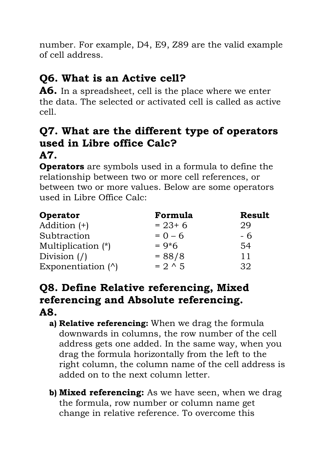number. For example, D4, E9, Z89 are the valid example of cell address.

# **Q6. What is an Active cell?**

**A6.** In a spreadsheet, cell is the place where we enter the data. The selected or activated cell is called as active cell.

#### **Q7. What are the different type of operators used in Libre office Calc? A7.**

**Operators** are symbols used in a formula to define the relationship between two or more cell references, or between two or more values. Below are some operators used in Libre Office Calc:

| Operator                                  | Formula        | <b>Result</b> |
|-------------------------------------------|----------------|---------------|
| Addition (+)                              | $= 23 + 6$     | 29            |
| Subtraction                               | $= 0 - 6$      | - 6           |
| Multiplication (*)                        | $= 9*6$        | 54            |
| Division $\left(\frac{\ }{\ }{\ }\right)$ | $= 88/8$       | 11            |
| Exponentiation $(^{\wedge})$              | $= 2 \times 5$ | 32            |

## **Q8. Define Relative referencing, Mixed referencing and Absolute referencing. A8.**

- **a) Relative referencing:** When we drag the formula downwards in columns, the row number of the cell address gets one added. In the same way, when you drag the formula horizontally from the left to the right column, the column name of the cell address is added on to the next column letter.
- **b) Mixed referencing:** As we have seen, when we drag the formula, row number or column name get change in relative reference. To overcome this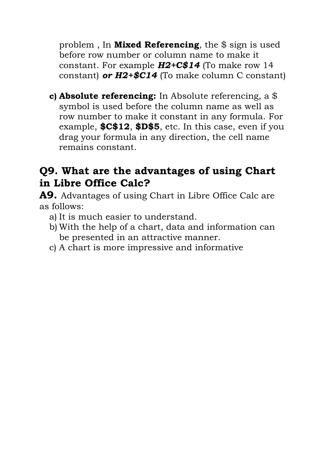problem , In **Mixed Referencing**, the \$ sign is used before row number or column name to make it constant. For example *H2+C\$14* (To make row 14 constant) *or H2+\$C14* (To make column C constant)

**c) Absolute referencing:** In Absolute referencing, a \$ symbol is used before the column name as well as row number to make it constant in any formula. For example, **\$C\$12**, **\$D\$5**, etc. In this case, even if you drag your formula in any direction, the cell name remains constant.

## **Q9. What are the advantages of using Chart in Libre Office Calc?**

**A9.** Advantages of using Chart in Libre Office Calc are as follows:

- a) It is much easier to understand.
- b) With the help of a chart, data and information can be presented in an attractive manner.
- c) A chart is more impressive and informative